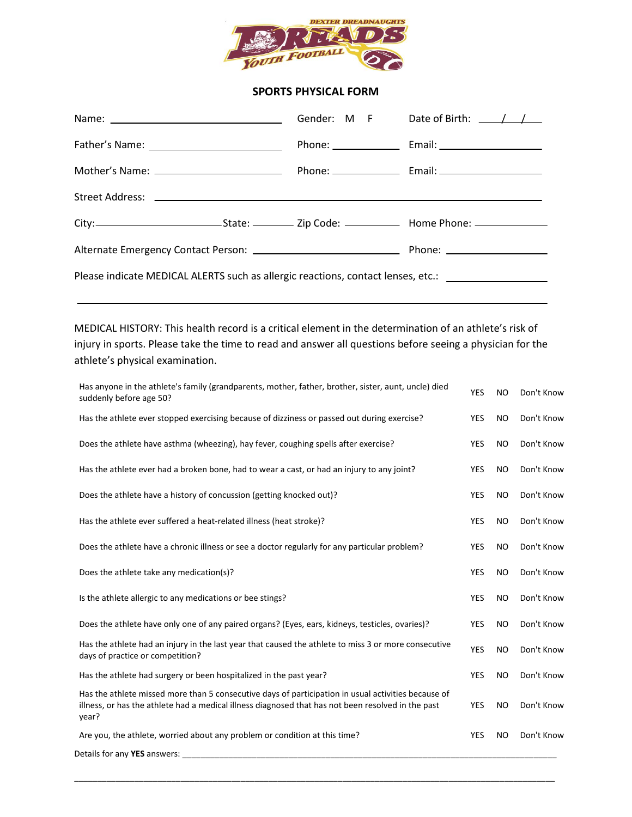

## **SPORTS PHYSICAL FORM**

|                                                                                                     |  |  | Gender: M F Date of Birth: $\angle$ |
|-----------------------------------------------------------------------------------------------------|--|--|-------------------------------------|
|                                                                                                     |  |  |                                     |
|                                                                                                     |  |  |                                     |
|                                                                                                     |  |  |                                     |
|                                                                                                     |  |  |                                     |
|                                                                                                     |  |  |                                     |
| Please indicate MEDICAL ALERTS such as allergic reactions, contact lenses, etc.: __________________ |  |  |                                     |
|                                                                                                     |  |  |                                     |

MEDICAL HISTORY: This health record is a critical element in the determination of an athlete's risk of injury in sports. Please take the time to read and answer all questions before seeing a physician for the athlete's physical examination.

| Has anyone in the athlete's family (grandparents, mother, father, brother, sister, aunt, uncle) died<br>suddenly before age 50?                                                                                    | YES        | <b>NO</b> | Don't Know |
|--------------------------------------------------------------------------------------------------------------------------------------------------------------------------------------------------------------------|------------|-----------|------------|
| Has the athlete ever stopped exercising because of dizziness or passed out during exercise?                                                                                                                        | <b>YES</b> | NO.       | Don't Know |
| Does the athlete have asthma (wheezing), hay fever, coughing spells after exercise?                                                                                                                                | <b>YES</b> | NO.       | Don't Know |
| Has the athlete ever had a broken bone, had to wear a cast, or had an injury to any joint?                                                                                                                         | <b>YES</b> | NO        | Don't Know |
| Does the athlete have a history of concussion (getting knocked out)?                                                                                                                                               | YES        | <b>NO</b> | Don't Know |
| Has the athlete ever suffered a heat-related illness (heat stroke)?                                                                                                                                                | <b>YES</b> | NO.       | Don't Know |
| Does the athlete have a chronic illness or see a doctor regularly for any particular problem?                                                                                                                      | YES        | NO.       | Don't Know |
| Does the athlete take any medication(s)?                                                                                                                                                                           | <b>YES</b> | <b>NO</b> | Don't Know |
| Is the athlete allergic to any medications or bee stings?                                                                                                                                                          | YES        | <b>NO</b> | Don't Know |
| Does the athlete have only one of any paired organs? (Eyes, ears, kidneys, testicles, ovaries)?                                                                                                                    | <b>YES</b> | NO.       | Don't Know |
| Has the athlete had an injury in the last year that caused the athlete to miss 3 or more consecutive<br>days of practice or competition?                                                                           | YES        | NO        | Don't Know |
| Has the athlete had surgery or been hospitalized in the past year?                                                                                                                                                 | YES        | NO        | Don't Know |
| Has the athlete missed more than 5 consecutive days of participation in usual activities because of<br>illness, or has the athlete had a medical illness diagnosed that has not been resolved in the past<br>year? | <b>YES</b> | NO.       | Don't Know |
| Are you, the athlete, worried about any problem or condition at this time?                                                                                                                                         | YES        | <b>NO</b> | Don't Know |
| Details for any YES answers:                                                                                                                                                                                       |            |           |            |

\_\_\_\_\_\_\_\_\_\_\_\_\_\_\_\_\_\_\_\_\_\_\_\_\_\_\_\_\_\_\_\_\_\_\_\_\_\_\_\_\_\_\_\_\_\_\_\_\_\_\_\_\_\_\_\_\_\_\_\_\_\_\_\_\_\_\_\_\_\_\_\_\_\_\_\_\_\_\_\_\_\_\_\_\_\_\_\_\_\_\_\_\_\_\_\_\_\_\_\_\_\_\_\_